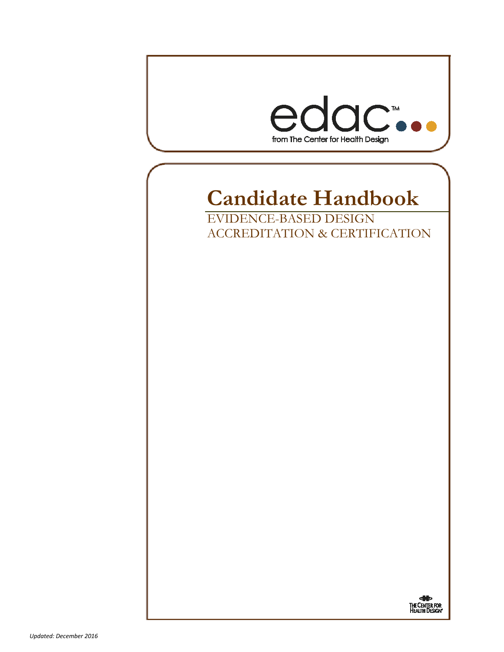

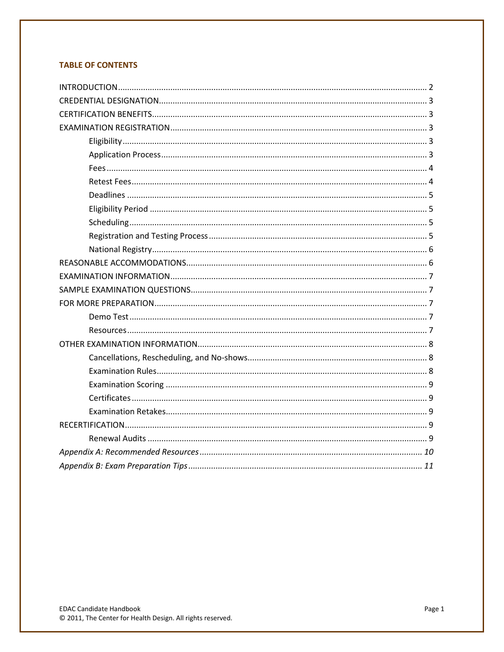# **TABLE OF CONTENTS**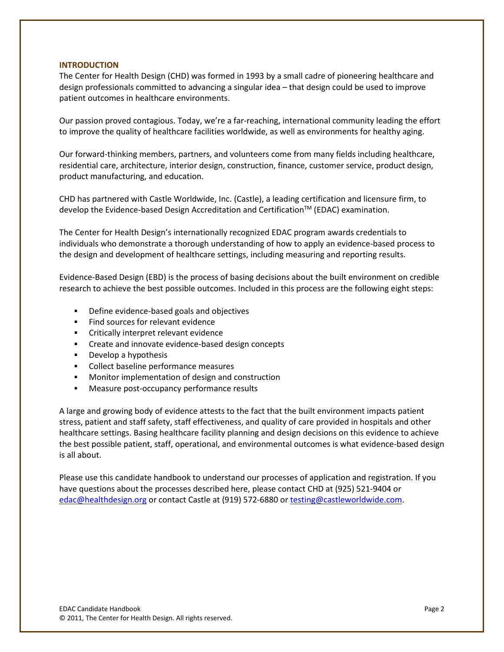### **INTRODUCTION**

The Center for Health Design (CHD) was formed in 1993 by a small cadre of pioneering healthcare and design professionals committed to advancing a singular idea – that design could be used to improve patient outcomes in healthcare environments.

Our passion proved contagious. Today, we're a far-reaching, international community leading the effort to improve the quality of healthcare facilities worldwide, as well as environments for healthy aging.

Our forward-thinking members, partners, and volunteers come from many fields including healthcare, residential care, architecture, interior design, construction, finance, customer service, product design, product manufacturing, and education.

CHD has partnered with Castle Worldwide, Inc. (Castle), a leading certification and licensure firm, to develop the Evidence-based Design Accreditation and Certification™ (EDAC) examination.

The Center for Health Design's internationally recognized EDAC program awards credentials to individuals who demonstrate a thorough understanding of how to apply an evidence-based process to the design and development of healthcare settings, including measuring and reporting results.

Evidence-Based Design (EBD) is the process of basing decisions about the built environment on credible research to achieve the best possible outcomes. Included in this process are the following eight steps:

- Define evidence-based goals and objectives
- **Find sources for relevant evidence**
- **EXECR** Critically interpret relevant evidence
- **EXECTE And INFORTH Create and innovate evidence-based design concepts**
- **Develop a hypothesis**
- **•** Collect baseline performance measures
- Monitor implementation of design and construction
- **Measure post-occupancy performance results**

A large and growing body of evidence attests to the fact that the built environment impacts patient stress, patient and staff safety, staff effectiveness, and quality of care provided in hospitals and other healthcare settings. Basing healthcare facility planning and design decisions on this evidence to achieve the best possible patient, staff, operational, and environmental outcomes is what evidence-based design is all about.

Please use this candidate handbook to understand our processes of application and registration. If you have questions about the processes described here, please contact CHD at (925) 521-9404 or [edac@healthdesign.org](mailto:edac@healthdesign.org) or contact Castle at (919) 572-6880 o[r testing@castleworldwide.com.](mailto:testing@castleworldwide.com)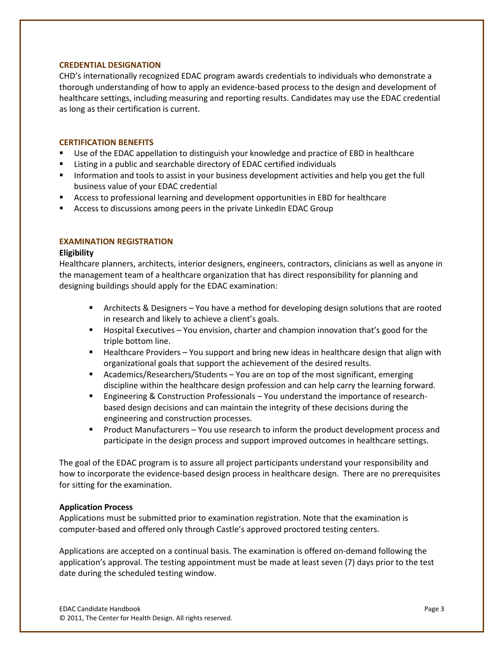### **CREDENTIAL DESIGNATION**

CHD's internationally recognized EDAC program awards credentials to individuals who demonstrate a thorough understanding of how to apply an evidence-based process to the design and development of healthcare settings, including measuring and reporting results. Candidates may use the EDAC credential as long as their certification is current.

# **CERTIFICATION BENEFITS**

- Use of the EDAC appellation to distinguish your knowledge and practice of EBD in healthcare
- Listing in a public and searchable directory of EDAC certified individuals
- **Information and tools to assist in your business development activities and help you get the full** business value of your EDAC credential
- Access to professional learning and development opportunities in EBD for healthcare
- **E** Access to discussions among peers in the private LinkedIn EDAC Group

# **EXAMINATION REGISTRATION**

### **Eligibility**

Healthcare planners, architects, interior designers, engineers, contractors, clinicians as well as anyone in the management team of a healthcare organization that has direct responsibility for planning and designing buildings should apply for the EDAC examination:

- Architects & Designers You have a method for developing design solutions that are rooted in research and likely to achieve a client's goals.
- **Hospital Executives You envision, charter and champion innovation that's good for the** triple bottom line.
- **Healthcare Providers You support and bring new ideas in healthcare design that align with** organizational goals that support the achievement of the desired results.
- Academics/Researchers/Students You are on top of the most significant, emerging discipline within the healthcare design profession and can help carry the learning forward.
- Engineering & Construction Professionals You understand the importance of researchbased design decisions and can maintain the integrity of these decisions during the engineering and construction processes.
- **Product Manufacturers You use research to inform the product development process and** participate in the design process and support improved outcomes in healthcare settings.

The goal of the EDAC program is to assure all project participants understand your responsibility and how to incorporate the evidence-based design process in healthcare design. There are no prerequisites for sitting for the examination.

### **Application Process**

Applications must be submitted prior to examination registration. Note that the examination is computer-based and offered only through Castle's approved proctored testing centers.

Applications are accepted on a continual basis. The examination is offered on-demand following the application's approval. The testing appointment must be made at least seven (7) days prior to the test date during the scheduled testing window.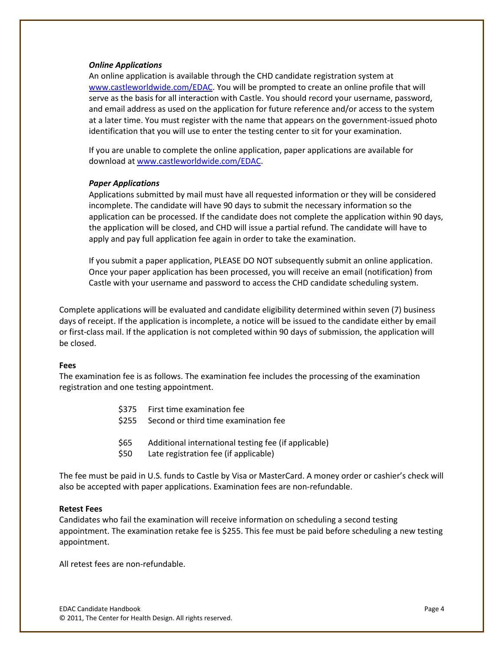### *Online Applications*

An online application is available through the CHD candidate registration system at www.castleworldwide.com/EDAC. You will be prompted to create an online profile that will serve as the basis for all interaction with Castle. You should record your username, password, and email address as used on the application for future reference and/or access to the system at a later time. You must register with the name that appears on the government-issued photo identification that you will use to enter the testing center to sit for your examination.

If you are unable to complete the online application, paper applications are available for download a[t www.castleworldwide.com/EDAC.](http://www.castleworldwide.com/aade%5d)

### *Paper Applications*

Applications submitted by mail must have all requested information or they will be considered incomplete. The candidate will have 90 days to submit the necessary information so the application can be processed. If the candidate does not complete the application within 90 days, the application will be closed, and CHD will issue a partial refund. The candidate will have to apply and pay full application fee again in order to take the examination.

If you submit a paper application, PLEASE DO NOT subsequently submit an online application. Once your paper application has been processed, you will receive an email (notification) from Castle with your username and password to access the CHD candidate scheduling system.

Complete applications will be evaluated and candidate eligibility determined within seven (7) business days of receipt. If the application is incomplete, a notice will be issued to the candidate either by email or first-class mail. If the application is not completed within 90 days of submission, the application will be closed.

#### **Fees**

The examination fee is as follows. The examination fee includes the processing of the examination registration and one testing appointment.

- \$375 First time examination fee
- \$255 Second or third time examination fee
- \$65 Additional international testing fee (if applicable)
- \$50 Late registration fee (if applicable)

The fee must be paid in U.S. funds to Castle by Visa or MasterCard. A money order or cashier's check will also be accepted with paper applications. Examination fees are non-refundable.

### **Retest Fees**

Candidates who fail the examination will receive information on scheduling a second testing appointment. The examination retake fee is \$255. This fee must be paid before scheduling a new testing appointment.

All retest fees are non-refundable.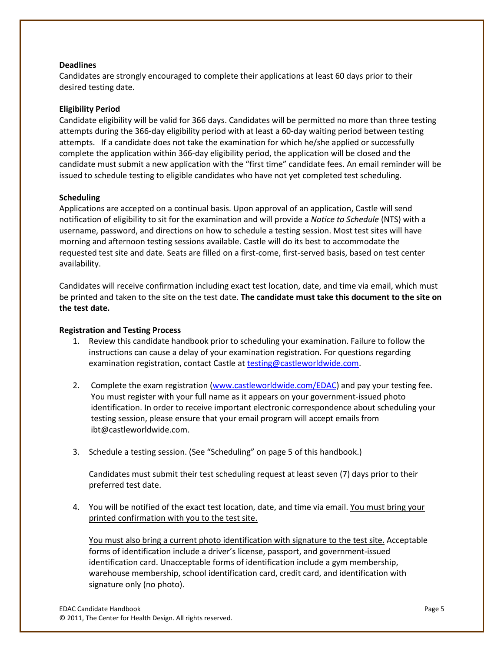# **Deadlines**

Candidates are strongly encouraged to complete their applications at least 60 days prior to their desired testing date.

# **Eligibility Period**

Candidate eligibility will be valid for 366 days. Candidates will be permitted no more than three testing attempts during the 366-day eligibility period with at least a 60-day waiting period between testing attempts. If a candidate does not take the examination for which he/she applied or successfully complete the application within 366-day eligibility period, the application will be closed and the candidate must submit a new application with the "first time" candidate fees. An email reminder will be issued to schedule testing to eligible candidates who have not yet completed test scheduling.

# **Scheduling**

Applications are accepted on a continual basis. Upon approval of an application, Castle will send notification of eligibility to sit for the examination and will provide a *Notice to Schedule* (NTS) with a username, password, and directions on how to schedule a testing session. Most test sites will have morning and afternoon testing sessions available. Castle will do its best to accommodate the requested test site and date. Seats are filled on a first-come, first-served basis, based on test center availability.

Candidates will receive confirmation including exact test location, date, and time via email, which must be printed and taken to the site on the test date. **The candidate must take this document to the site on the test date.** 

# **Registration and Testing Process**

- 1. Review this candidate handbook prior to scheduling your examination. Failure to follow the instructions can cause a delay of your examination registration. For questions regarding examination registration, contact Castle at [testing@castleworldwide.com.](mailto:testing@castleworldwide.com)
- 2. Complete the exam registration [\(www.castleworldwide.com/EDAC\)](http://www.castleworldwide.com/chd) and pay your testing fee. You must register with your full name as it appears on your government-issued photo identification. In order to receive important electronic correspondence about scheduling your testing session, please ensure that your email program will accept emails from ibt@castleworldwide.com.
- 3. Schedule a testing session. (See "Scheduling" on page 5 of this handbook.)

Candidates must submit their test scheduling request at least seven (7) days prior to their preferred test date.

4. You will be notified of the exact test location, date, and time via email. You must bring your printed confirmation with you to the test site.

You must also bring a current photo identification with signature to the test site. Acceptable forms of identification include a driver's license, passport, and government-issued identification card. Unacceptable forms of identification include a gym membership, warehouse membership, school identification card, credit card, and identification with signature only (no photo).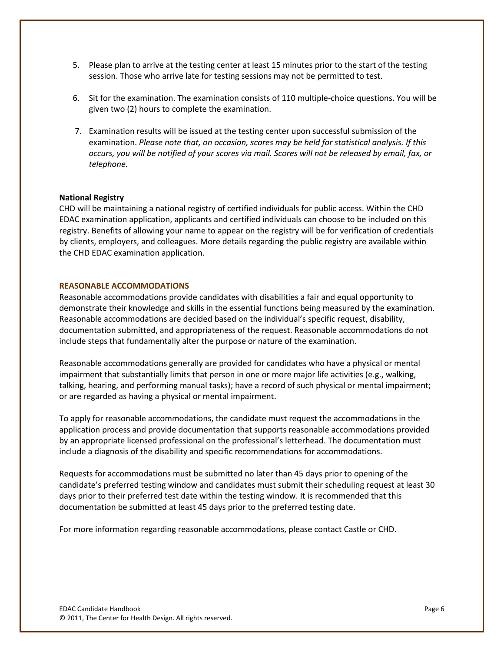- 5. Please plan to arrive at the testing center at least 15 minutes prior to the start of the testing session. Those who arrive late for testing sessions may not be permitted to test.
- 6. Sit for the examination. The examination consists of 110 multiple-choice questions. You will be given two (2) hours to complete the examination.
- 7. Examination results will be issued at the testing center upon successful submission of the examination. *Please note that, on occasion, scores may be held for statistical analysis. If this occurs, you will be notified of your scores via mail. Scores will not be released by email, fax, or telephone.*

### **National Registry**

CHD will be maintaining a national registry of certified individuals for public access. Within the CHD EDAC examination application, applicants and certified individuals can choose to be included on this registry. Benefits of allowing your name to appear on the registry will be for verification of credentials by clients, employers, and colleagues. More details regarding the public registry are available within the CHD EDAC examination application.

#### **REASONABLE ACCOMMODATIONS**

Reasonable accommodations provide candidates with disabilities a fair and equal opportunity to demonstrate their knowledge and skills in the essential functions being measured by the examination. Reasonable accommodations are decided based on the individual's specific request, disability, documentation submitted, and appropriateness of the request. Reasonable accommodations do not include steps that fundamentally alter the purpose or nature of the examination.

Reasonable accommodations generally are provided for candidates who have a physical or mental impairment that substantially limits that person in one or more major life activities (e.g., walking, talking, hearing, and performing manual tasks); have a record of such physical or mental impairment; or are regarded as having a physical or mental impairment.

To apply for reasonable accommodations, the candidate must request the accommodations in the application process and provide documentation that supports reasonable accommodations provided by an appropriate licensed professional on the professional's letterhead. The documentation must include a diagnosis of the disability and specific recommendations for accommodations.

Requests for accommodations must be submitted no later than 45 days prior to opening of the candidate's preferred testing window and candidates must submit their scheduling request at least 30 days prior to their preferred test date within the testing window. It is recommended that this documentation be submitted at least 45 days prior to the preferred testing date.

For more information regarding reasonable accommodations, please contact Castle or CHD.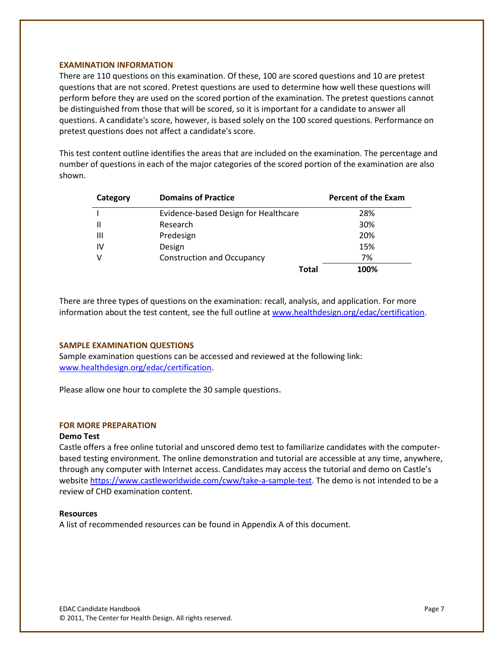### **EXAMINATION INFORMATION**

There are 110 questions on this examination. Of these, 100 are scored questions and 10 are pretest questions that are not scored. Pretest questions are used to determine how well these questions will perform before they are used on the scored portion of the examination. The pretest questions cannot be distinguished from those that will be scored, so it is important for a candidate to answer all questions. A candidate's score, however, is based solely on the 100 scored questions. Performance on pretest questions does not affect a candidate's score.

This test content outline identifies the areas that are included on the examination. The percentage and number of questions in each of the major categories of the scored portion of the examination are also shown.

| Category      | <b>Domains of Practice</b>           | <b>Percent of the Exam</b> |
|---------------|--------------------------------------|----------------------------|
|               | Evidence-based Design for Healthcare | 28%                        |
| $\mathsf{II}$ | Research                             | 30%                        |
| Ш             | Predesign                            | 20%                        |
| IV            | Design                               | 15%                        |
| v             | <b>Construction and Occupancy</b>    | 7%                         |
|               | Total                                | 100%                       |

There are three types of questions on the examination: recall, analysis, and application. For more information about the test content, see the full outline at www.healthdesign.org/edac/certification.

#### **SAMPLE EXAMINATION QUESTIONS**

Sample examination questions can be accessed and reviewed at the following link: [www.healthdesign.org/edac/certification.](http://www.healthdesign.org/edac/certification)

Please allow one hour to complete the 30 sample questions.

#### **FOR MORE PREPARATION**

#### **Demo Test**

Castle offers a free online tutorial and unscored demo test to familiarize candidates with the computerbased testing environment. The online demonstration and tutorial are accessible at any time, anywhere, through any computer with Internet access. Candidates may access the tutorial and demo on Castle's websit[e https://www.castleworldwide.com/cww/take-a-sample-test.](https://www.castleworldwide.com/cww/take-a-sample-test) The demo is not intended to be a review of CHD examination content.

#### **Resources**

A list of recommended resources can be found in Appendix A of this document.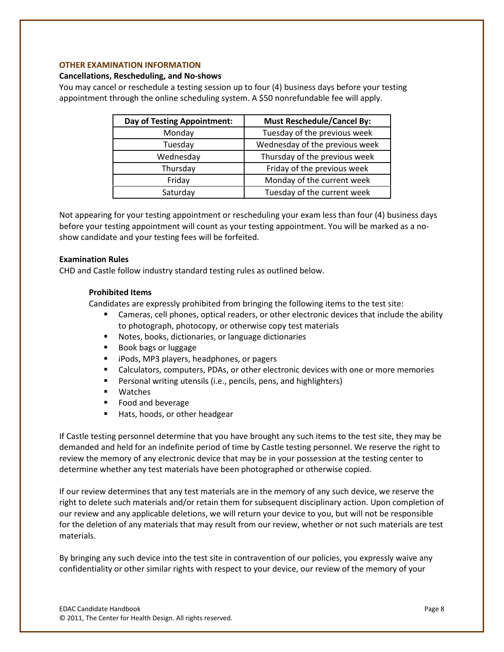# **OTHER EXAMINATION INFORMATION**

### **Cancellations, Rescheduling, and No-shows**

You may cancel or reschedule a testing session up to four (4) business days before your testing appointment through the online scheduling system. A \$50 nonrefundable fee will apply.

| Day of Testing Appointment: | <b>Must Reschedule/Cancel By:</b> |
|-----------------------------|-----------------------------------|
| Monday                      | Tuesday of the previous week      |
| Tuesday                     | Wednesday of the previous week    |
| Wednesday                   | Thursday of the previous week     |
| Thursday                    | Friday of the previous week       |
| Friday                      | Monday of the current week        |
| Saturday                    | Tuesday of the current week       |

Not appearing for your testing appointment or rescheduling your exam less than four (4) business days before your testing appointment will count as your testing appointment. You will be marked as a noshow candidate and your testing fees will be forfeited.

# **Examination Rules**

CHD and Castle follow industry standard testing rules as outlined below.

# **Prohibited Items**

Candidates are expressly prohibited from bringing the following items to the test site:

- Cameras, cell phones, optical readers, or other electronic devices that include the ability to photograph, photocopy, or otherwise copy test materials
- Notes, books, dictionaries, or language dictionaries
- **Book bags or luggage**
- **F** iPods, MP3 players, headphones, or pagers
- Calculators, computers, PDAs, or other electronic devices with one or more memories
- **Personal writing utensils (i.e., pencils, pens, and highlighters)**
- Watches
- Food and beverage
- Hats, hoods, or other headgear

If Castle testing personnel determine that you have brought any such items to the test site, they may be demanded and held for an indefinite period of time by Castle testing personnel. We reserve the right to review the memory of any electronic device that may be in your possession at the testing center to determine whether any test materials have been photographed or otherwise copied.

If our review determines that any test materials are in the memory of any such device, we reserve the right to delete such materials and/or retain them for subsequent disciplinary action. Upon completion of our review and any applicable deletions, we will return your device to you, but will not be responsible for the deletion of any materials that may result from our review, whether or not such materials are test materials.

By bringing any such device into the test site in contravention of our policies, you expressly waive any confidentiality or other similar rights with respect to your device, our review of the memory of your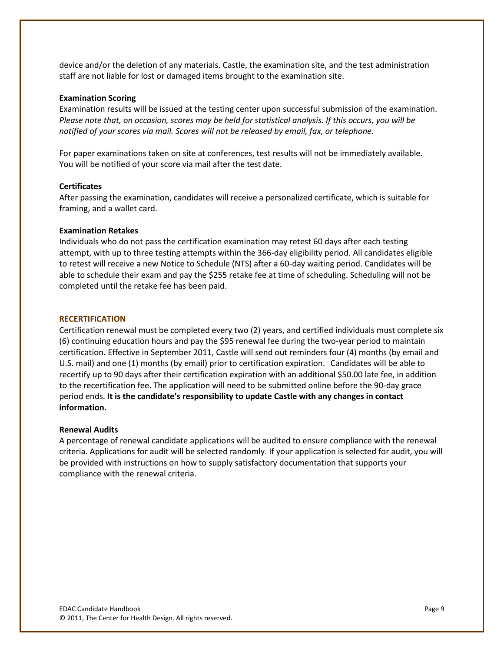device and/or the deletion of any materials. Castle, the examination site, and the test administration staff are not liable for lost or damaged items brought to the examination site.

#### **Examination Scoring**

Examination results will be issued at the testing center upon successful submission of the examination. *Please note that, on occasion, scores may be held for statistical analysis. If this occurs, you will be notified of your scores via mail. Scores will not be released by email, fax, or telephone.*

For paper examinations taken on site at conferences, test results will not be immediately available. You will be notified of your score via mail after the test date.

### **Certificates**

After passing the examination, candidates will receive a personalized certificate, which is suitable for framing, and a wallet card.

### **Examination Retakes**

Individuals who do not pass the certification examination may retest 60 days after each testing attempt, with up to three testing attempts within the 366-day eligibility period. All candidates eligible to retest will receive a new Notice to Schedule (NTS) after a 60-day waiting period. Candidates will be able to schedule their exam and pay the \$255 retake fee at time of scheduling. Scheduling will not be completed until the retake fee has been paid.

#### **RECERTIFICATION**

Certification renewal must be completed every two (2) years, and certified individuals must complete six (6) continuing education hours and pay the \$95 renewal fee during the two-year period to maintain certification. Effective in September 2011, Castle will send out reminders four (4) months (by email and U.S. mail) and one (1) months (by email) prior to certification expiration. Candidates will be able to recertify up to 90 days after their certification expiration with an additional \$50.00 late fee, in addition to the recertification fee. The application will need to be submitted online before the 90-day grace period ends. **It is the candidate's responsibility to update Castle with any changes in contact information.**

#### **Renewal Audits**

A percentage of renewal candidate applications will be audited to ensure compliance with the renewal criteria. Applications for audit will be selected randomly. If your application is selected for audit, you will be provided with instructions on how to supply satisfactory documentation that supports your compliance with the renewal criteria.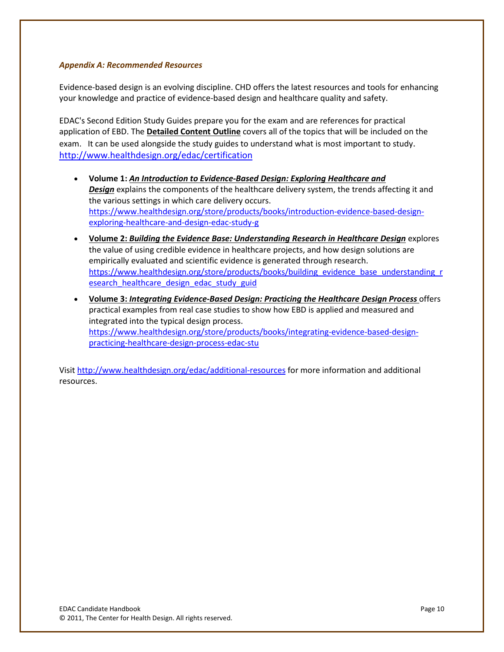# *Appendix A: Recommended Resources*

Evidence-based design is an evolving discipline. CHD offers the latest resources and tools for enhancing your knowledge and practice of evidence-based design and healthcare quality and safety.

EDAC's Second Edition Study Guides prepare you for the exam and are references for practical application of EBD. The **Detailed Content Outline** covers all of the topics that will be included on the exam. It can be used alongside the study guides to understand what is most important to study. <http://www.healthdesign.org/edac/certification>

- **Volume 1:** *An Introduction to Evidence-Based Design: Exploring Healthcare and Design* explains the components of the healthcare delivery system, the trends affecting it and the various settings in which care delivery occurs. [https://www.healthdesign.org/store/products/books/introduction-evidence-based-design](https://www.healthdesign.org/store/products/books/introduction-evidence-based-design-exploring-healthcare-and-design-edac-study-g)[exploring-healthcare-and-design-edac-study-g](https://www.healthdesign.org/store/products/books/introduction-evidence-based-design-exploring-healthcare-and-design-edac-study-g)
- **Volume 2:** *Building the Evidence Base: Understanding Research in Healthcare Design* explores the value of using credible evidence in healthcare projects, and how design solutions are empirically evaluated and scientific evidence is generated through research. [https://www.healthdesign.org/store/products/books/building\\_evidence\\_base\\_understanding\\_r](https://www.healthdesign.org/store/products/books/building_evidence_base_understanding_research_healthcare_design_edac_study_guid) [esearch\\_healthcare\\_design\\_edac\\_study\\_guid](https://www.healthdesign.org/store/products/books/building_evidence_base_understanding_research_healthcare_design_edac_study_guid)
- **Volume 3:** *Integrating Evidence-Based Design: Practicing the Healthcare Design Process* offers practical examples from real case studies to show how EBD is applied and measured and integrated into the typical design process. [https://www.healthdesign.org/store/products/books/integrating-evidence-based-design](https://www.healthdesign.org/store/products/books/integrating-evidence-based-design-practicing-healthcare-design-process-edac-stu)[practicing-healthcare-design-process-edac-stu](https://www.healthdesign.org/store/products/books/integrating-evidence-based-design-practicing-healthcare-design-process-edac-stu)

Visit<http://www.healthdesign.org/edac/additional-resources> for more information and additional resources.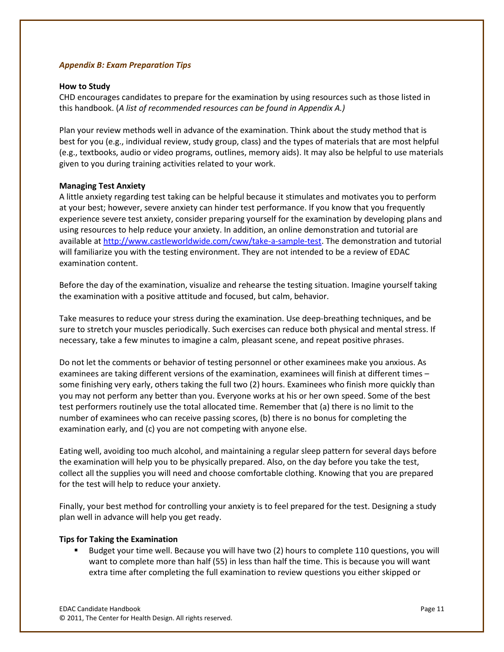# *Appendix B: Exam Preparation Tips*

### **How to Study**

CHD encourages candidates to prepare for the examination by using resources such as those listed in this handbook. (*A list of recommended resources can be found in Appendix A.)*

Plan your review methods well in advance of the examination. Think about the study method that is best for you (e.g., individual review, study group, class) and the types of materials that are most helpful (e.g., textbooks, audio or video programs, outlines, memory aids). It may also be helpful to use materials given to you during training activities related to your work.

# **Managing Test Anxiety**

A little anxiety regarding test taking can be helpful because it stimulates and motivates you to perform at your best; however, severe anxiety can hinder test performance. If you know that you frequently experience severe test anxiety, consider preparing yourself for the examination by developing plans and using resources to help reduce your anxiety. In addition, an online demonstration and tutorial are available at [http://www.castleworldwide.com/cww/take-a-sample-test.](http://www.castleworldwide.com/cww/take-a-sample-test) The demonstration and tutorial will familiarize you with the testing environment. They are not intended to be a review of EDAC examination content.

Before the day of the examination, visualize and rehearse the testing situation. Imagine yourself taking the examination with a positive attitude and focused, but calm, behavior.

Take measures to reduce your stress during the examination. Use deep-breathing techniques, and be sure to stretch your muscles periodically. Such exercises can reduce both physical and mental stress. If necessary, take a few minutes to imagine a calm, pleasant scene, and repeat positive phrases.

Do not let the comments or behavior of testing personnel or other examinees make you anxious. As examinees are taking different versions of the examination, examinees will finish at different times – some finishing very early, others taking the full two (2) hours. Examinees who finish more quickly than you may not perform any better than you. Everyone works at his or her own speed. Some of the best test performers routinely use the total allocated time. Remember that (a) there is no limit to the number of examinees who can receive passing scores, (b) there is no bonus for completing the examination early, and (c) you are not competing with anyone else.

Eating well, avoiding too much alcohol, and maintaining a regular sleep pattern for several days before the examination will help you to be physically prepared. Also, on the day before you take the test, collect all the supplies you will need and choose comfortable clothing. Knowing that you are prepared for the test will help to reduce your anxiety.

Finally, your best method for controlling your anxiety is to feel prepared for the test. Designing a study plan well in advance will help you get ready.

# **Tips for Taking the Examination**

 Budget your time well. Because you will have two (2) hours to complete 110 questions, you will want to complete more than half (55) in less than half the time. This is because you will want extra time after completing the full examination to review questions you either skipped or